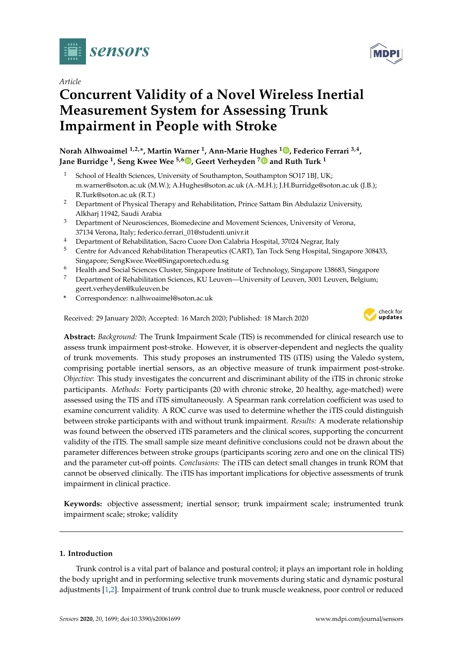

*Article*

# **Concurrent Validity of a Novel Wireless Inertial Measurement System for Assessing Trunk Impairment in People with Stroke**

**Norah Alhwoaimel 1,2,\*, Martin Warner <sup>1</sup> , Ann-Marie Hughes [1](https://orcid.org/0000-0002-3958-8206) , Federico Ferrari 3,4 , Jane Burridge <sup>1</sup> , Seng Kwee Wee 5,6 [,](https://orcid.org/0000-0002-5206-6269) Geert Verheyden [7](https://orcid.org/0000-0003-3095-8175) and Ruth Turk <sup>1</sup>**

- School of Health Sciences, University of Southampton, Southampton SO17 1BJ, UK; m.warner@soton.ac.uk (M.W.); A.Hughes@soton.ac.uk (A.-M.H.); J.H.Burridge@soton.ac.uk (J.B.); R.Turk@soton.ac.uk (R.T.)
- <sup>2</sup> Department of Physical Therapy and Rehabilitation, Prince Sattam Bin Abdulaziz University, Alkharj 11942, Saudi Arabia
- <sup>3</sup> Department of Neurosciences, Biomedecine and Movement Sciences, University of Verona, 37134 Verona, Italy; federico.ferrari\_01@studenti.univr.it
- <sup>4</sup> Department of Rehabilitation, Sacro Cuore Don Calabria Hospital, 37024 Negrar, Italy
- <sup>5</sup> Centre for Advanced Rehabilitation Therapeutics (CART), Tan Tock Seng Hospital, Singapore 308433, Singapore; SengKwee.Wee@Singaporetech.edu.sg
- <sup>6</sup> Health and Social Sciences Cluster, Singapore Institute of Technology, Singapore 138683, Singapore
- <sup>7</sup> Department of Rehabilitation Sciences, KU Leuven—University of Leuven, 3001 Leuven, Belgium; geert.verheyden@kuleuven.be
- **\*** Correspondence: n.alhwoaimel@soton.ac.uk

Received: 29 January 2020; Accepted: 16 March 2020; Published: 18 March 2020



**Abstract:** *Background:* The Trunk Impairment Scale (TIS) is recommended for clinical research use to assess trunk impairment post-stroke. However, it is observer-dependent and neglects the quality of trunk movements. This study proposes an instrumented TIS (iTIS) using the Valedo system, comprising portable inertial sensors, as an objective measure of trunk impairment post-stroke. *Objective*: This study investigates the concurrent and discriminant ability of the iTIS in chronic stroke participants. *Methods:* Forty participants (20 with chronic stroke, 20 healthy, age-matched) were assessed using the TIS and iTIS simultaneously. A Spearman rank correlation coefficient was used to examine concurrent validity. A ROC curve was used to determine whether the iTIS could distinguish between stroke participants with and without trunk impairment. *Results:* A moderate relationship was found between the observed iTIS parameters and the clinical scores, supporting the concurrent validity of the iTIS. The small sample size meant definitive conclusions could not be drawn about the parameter differences between stroke groups (participants scoring zero and one on the clinical TIS) and the parameter cut-off points. *Conclusions:* The iTIS can detect small changes in trunk ROM that cannot be observed clinically. The iTIS has important implications for objective assessments of trunk impairment in clinical practice.

**Keywords:** objective assessment; inertial sensor; trunk impairment scale; instrumented trunk impairment scale; stroke; validity

## **1. Introduction**

Trunk control is a vital part of balance and postural control; it plays an important role in holding the body upright and in performing selective trunk movements during static and dynamic postural adjustments [\[1](#page-17-0)[,2\]](#page-17-1). Impairment of trunk control due to trunk muscle weakness, poor control or reduced

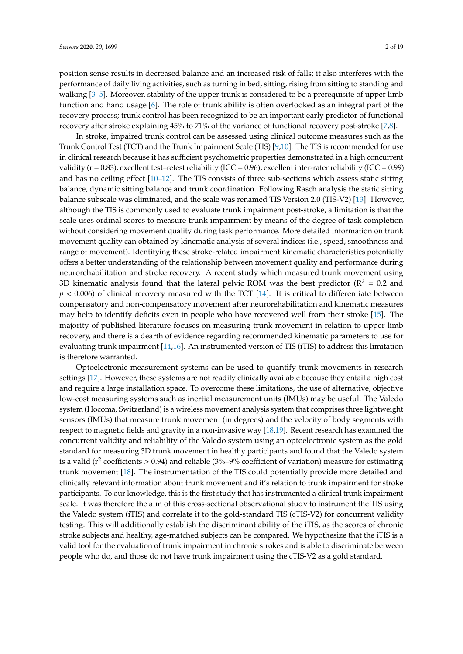position sense results in decreased balance and an increased risk of falls; it also interferes with the performance of daily living activities, such as turning in bed, sitting, rising from sitting to standing and walking [\[3–](#page-17-2)[5\]](#page-17-3). Moreover, stability of the upper trunk is considered to be a prerequisite of upper limb function and hand usage [\[6\]](#page-17-4). The role of trunk ability is often overlooked as an integral part of the recovery process; trunk control has been recognized to be an important early predictor of functional recovery after stroke explaining 45% to 71% of the variance of functional recovery post-stroke [\[7](#page-17-5)[,8\]](#page-17-6).

In stroke, impaired trunk control can be assessed using clinical outcome measures such as the Trunk Control Test (TCT) and the Trunk Impairment Scale (TIS) [\[9,](#page-17-7)[10\]](#page-17-8). The TIS is recommended for use in clinical research because it has sufficient psychometric properties demonstrated in a high concurrent validity ( $r = 0.83$ ), excellent test–retest reliability (ICC = 0.96), excellent inter-rater reliability (ICC = 0.99) and has no ceiling effect [\[10](#page-17-8)[–12\]](#page-18-0). The TIS consists of three sub-sections which assess static sitting balance, dynamic sitting balance and trunk coordination. Following Rasch analysis the static sitting balance subscale was eliminated, and the scale was renamed TIS Version 2.0 (TIS-V2) [\[13\]](#page-18-1). However, although the TIS is commonly used to evaluate trunk impairment post-stroke, a limitation is that the scale uses ordinal scores to measure trunk impairment by means of the degree of task completion without considering movement quality during task performance. More detailed information on trunk movement quality can obtained by kinematic analysis of several indices (i.e., speed, smoothness and range of movement). Identifying these stroke-related impairment kinematic characteristics potentially offers a better understanding of the relationship between movement quality and performance during neurorehabilitation and stroke recovery. A recent study which measured trunk movement using 3D kinematic analysis found that the lateral pelvic ROM was the best predictor ( $\mathbb{R}^2 = 0.2$  and  $p < 0.006$ ) of clinical recovery measured with the TCT [\[14\]](#page-18-2). It is critical to differentiate between compensatory and non-compensatory movement after neurorehabilitation and kinematic measures may help to identify deficits even in people who have recovered well from their stroke [\[15\]](#page-18-3). The majority of published literature focuses on measuring trunk movement in relation to upper limb recovery, and there is a dearth of evidence regarding recommended kinematic parameters to use for evaluating trunk impairment [\[14,](#page-18-2)[16\]](#page-18-4). An instrumented version of TIS (iTIS) to address this limitation is therefore warranted.

Optoelectronic measurement systems can be used to quantify trunk movements in research settings [\[17\]](#page-18-5). However, these systems are not readily clinically available because they entail a high cost and require a large installation space. To overcome these limitations, the use of alternative, objective low-cost measuring systems such as inertial measurement units (IMUs) may be useful. The Valedo system (Hocoma, Switzerland) is a wireless movement analysis system that comprises three lightweight sensors (IMUs) that measure trunk movement (in degrees) and the velocity of body segments with respect to magnetic fields and gravity in a non-invasive way [\[18](#page-18-6)[,19\]](#page-18-7). Recent research has examined the concurrent validity and reliability of the Valedo system using an optoelectronic system as the gold standard for measuring 3D trunk movement in healthy participants and found that the Valedo system is a valid ( $r^2$  coefficients > 0.94) and reliable (3%–9% coefficient of variation) measure for estimating trunk movement [\[18\]](#page-18-6). The instrumentation of the TIS could potentially provide more detailed and clinically relevant information about trunk movement and it's relation to trunk impairment for stroke participants. To our knowledge, this is the first study that has instrumented a clinical trunk impairment scale. It was therefore the aim of this cross-sectional observational study to instrument the TIS using the Valedo system (iTIS) and correlate it to the gold-standard TIS (cTIS-V2) for concurrent validity testing. This will additionally establish the discriminant ability of the iTIS, as the scores of chronic stroke subjects and healthy, age-matched subjects can be compared. We hypothesize that the iTIS is a valid tool for the evaluation of trunk impairment in chronic strokes and is able to discriminate between people who do, and those do not have trunk impairment using the cTIS-V2 as a gold standard.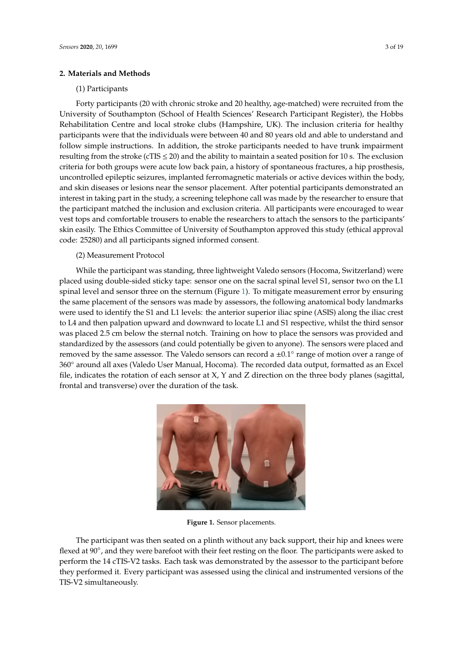#### **2. Materials and Methods** Forty participants (20 with chronic stroke and 20 healthy, age-matched) were received from the control of the control of the control of the control of the control of the control of the control of the control of the control

#### (1) Participants (I) Participants  $\mathcal{L}$

Forty participants (20 with chronic stroke and 20 healthy, age-matched) were recruited from the University of Southampton (School of Health Sciences' Research Participant Register), the Hobbs Rehabilitation Centre and local stroke clubs (Hampshire, UK). The inclusion criteria for healthy participants were that the individuals were between 40 and 80 years old and able to understand and follow simple instructions. In addition, the stroke participants needed to have trunk impairment resulting from the stroke (cTIS  $\leq$  20) and the ability to maintain a seated position for 10 s. The exclusion criteria for both groups were acute low back pain, a history of spontaneous fractures, a hip prosthesis, uncontrolled epileptic seizures, implanted ferromagnetic materials or active devices within the body, and skin diseases or lesions near the sensor placement. After potential participants demonstrated an and skin diseases or lesions near the sensor placement. After potential participants demonstrated an interest in taking part in the study, a screening telephone call was made by the researcher to ensure that the participant matched the inclusion and exclusion criteria. All participants were encouraged to wear vest tops and comfortable trousers to enable the researchers to attach the sensors to the participants' skin easily. The Ethics Committee of University of Southampton approved this study (ethical approval code: 25280) and all participants signed informed consent.

#### (2) Measurement Protocol While the participant was standard was standard was standard valed osensors (Hocoma, Switzerland)  $\mathcal{L}(\mathcal{A})$

While the participant was standing, three lightweight Valedo sensors (Hocoma, Switzerland) were placed using double-sided sticky tape: sensor one on the sacral spinal level S1, sensor two on the L1 spinal level and sensor three on the sternum (Figure [1\)](#page-2-0). To mitigate measurement error by ensuring<br>the same placement of the sensors was made by assessors, the following anatomical body level method the same placement of the sensors was made by assessors, the following anatomical body landmarks were used to identify the S1 and L1 levels: the anterior superior iliac spine (ASIS) along the iliac crest to L4 and then palpation upward and downward to locate L1 and S1 respective, whilst the third sensor was placed 2.5 cm below the sternal notch. Training on how to place the sensors was provided and standardized by the assessors (and could potentially be given to anyone). The sensors were placed and removed by the same assessor. The Valedo sensors can record a  $\pm 0.1^\circ$  range of motion over a range of 360° around all axes (Valedo User Manual, Hocoma). The recorded data output, formatted as an Excel file, indicates the rotation of each sensor at X, Y and Z direction on the three body planes (sagittal, frontal and transverse) over the duration of the task.

<span id="page-2-0"></span>

**Figure 1.** Sensor placements. **Figure 1.** Sensor placements.

The participant was then seated on a plinth without any back support, their hip and knees were  $\tilde{I}$ flexed at 90°, and they were barefoot with their feet resting on the floor. The participants were asked to perform the 14 cTIS-V2 tasks. Each task was demonstrated by the assessor to the participant before they performed it. Every participant was assessed using the clinical and instrumented versions of the they performed it. Every participant was assessed using the clinical and instrumented versions of the perform the 14 cTIS-V2 tasks. Each task was demonstrated by the assessor to the participant before TIS-V2 simultaneously.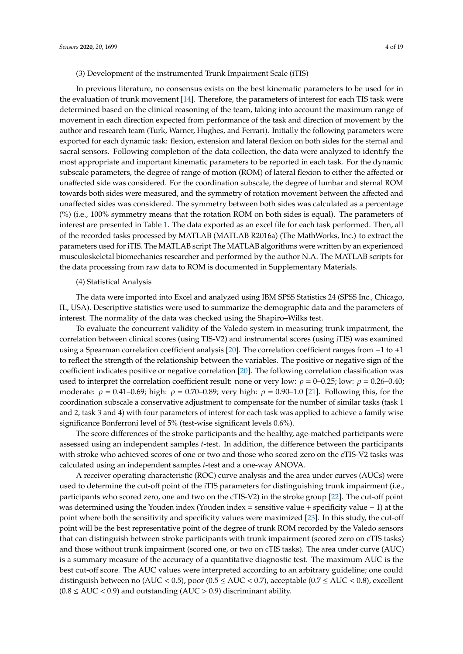#### (3) Development of the instrumented Trunk Impairment Scale (iTIS)

In previous literature, no consensus exists on the best kinematic parameters to be used for in the evaluation of trunk movement [\[14\]](#page-18-2). Therefore, the parameters of interest for each TIS task were determined based on the clinical reasoning of the team, taking into account the maximum range of movement in each direction expected from performance of the task and direction of movement by the author and research team (Turk, Warner, Hughes, and Ferrari). Initially the following parameters were exported for each dynamic task: flexion, extension and lateral flexion on both sides for the sternal and sacral sensors. Following completion of the data collection, the data were analyzed to identify the most appropriate and important kinematic parameters to be reported in each task. For the dynamic subscale parameters, the degree of range of motion (ROM) of lateral flexion to either the affected or unaffected side was considered. For the coordination subscale, the degree of lumbar and sternal ROM towards both sides were measured, and the symmetry of rotation movement between the affected and unaffected sides was considered. The symmetry between both sides was calculated as a percentage (%) (i.e., 100% symmetry means that the rotation ROM on both sides is equal). The parameters of interest are presented in Table [1.](#page-4-0) The data exported as an excel file for each task performed. Then, all of the recorded tasks processed by MATLAB (MATLAB R2016a) (The MathWorks, Inc.) to extract the parameters used for iTIS. The MATLAB script The MATLAB algorithms were written by an experienced musculoskeletal biomechanics researcher and performed by the author N.A. The MATLAB scripts for the data processing from raw data to ROM is documented in Supplementary Materials.

#### (4) Statistical Analysis

The data were imported into Excel and analyzed using IBM SPSS Statistics 24 (SPSS Inc., Chicago, IL, USA). Descriptive statistics were used to summarize the demographic data and the parameters of interest. The normality of the data was checked using the Shapiro–Wilks test.

To evaluate the concurrent validity of the Valedo system in measuring trunk impairment, the correlation between clinical scores (using TIS-V2) and instrumental scores (using iTIS) was examined using a Spearman correlation coefficient analysis [\[20\]](#page-18-8). The correlation coefficient ranges from −1 to +1 to reflect the strength of the relationship between the variables. The positive or negative sign of the coefficient indicates positive or negative correlation [\[20\]](#page-18-8). The following correlation classification was used to interpret the correlation coefficient result: none or very low:  $\rho = 0{\text -}0.25$ ; low:  $\rho = 0.26{\text -}0.40$ ; moderate:  $ρ = 0.41 - 0.69$ ; high:  $ρ = 0.70 - 0.89$ ; very high:  $ρ = 0.90 - 1.0$  [\[21\]](#page-18-9). Following this, for the coordination subscale a conservative adjustment to compensate for the number of similar tasks (task 1 and 2, task 3 and 4) with four parameters of interest for each task was applied to achieve a family wise significance Bonferroni level of 5% (test-wise significant levels 0.6%).

The score differences of the stroke participants and the healthy, age-matched participants were assessed using an independent samples *t*-test. In addition, the difference between the participants with stroke who achieved scores of one or two and those who scored zero on the cTIS-V2 tasks was calculated using an independent samples *t*-test and a one-way ANOVA.

A receiver operating characteristic (ROC) curve analysis and the area under curves (AUCs) were used to determine the cut-off point of the iTIS parameters for distinguishing trunk impairment (i.e., participants who scored zero, one and two on the cTIS-V2) in the stroke group [\[22\]](#page-18-10). The cut-off point was determined using the Youden index (Youden index = sensitive value + specificity value − 1) at the point where both the sensitivity and specificity values were maximized [\[23\]](#page-18-11). In this study, the cut-off point will be the best representative point of the degree of trunk ROM recorded by the Valedo sensors that can distinguish between stroke participants with trunk impairment (scored zero on cTIS tasks) and those without trunk impairment (scored one, or two on cTIS tasks). The area under curve (AUC) is a summary measure of the accuracy of a quantitative diagnostic test. The maximum AUC is the best cut-off score. The AUC values were interpreted according to an arbitrary guideline; one could distinguish between no (AUC < 0.5), poor ( $0.5 \leq AUC < 0.7$ ), acceptable ( $0.7 \leq AUC < 0.8$ ), excellent  $(0.8 \le \text{AUC} < 0.9)$  and outstanding  $(\text{AUC} > 0.9)$  discriminant ability.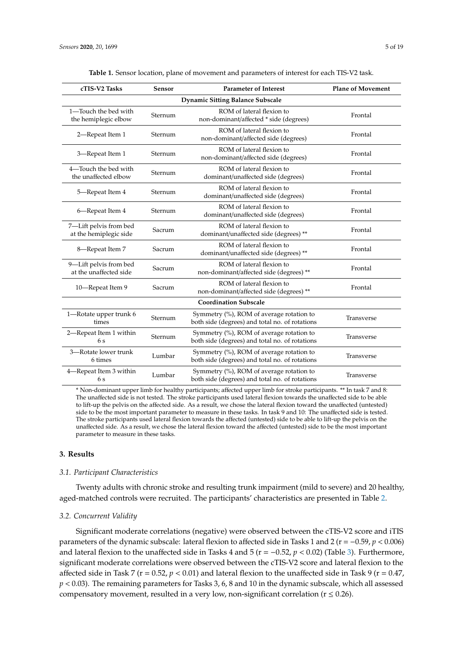<span id="page-4-0"></span>

| cTIS-V2 Tasks                                    | <b>Sensor</b> | <b>Parameter of Interest</b>                                                               | <b>Plane of Movement</b> |  |  |  |  |  |
|--------------------------------------------------|---------------|--------------------------------------------------------------------------------------------|--------------------------|--|--|--|--|--|
| <b>Dynamic Sitting Balance Subscale</b>          |               |                                                                                            |                          |  |  |  |  |  |
| 1-Touch the bed with<br>the hemiplegic elbow     | Sternum       | ROM of lateral flexion to<br>non-dominant/affected * side (degrees)                        | Frontal                  |  |  |  |  |  |
| 2-Repeat Item 1                                  | Sternum       | ROM of lateral flexion to<br>non-dominant/affected side (degrees)                          | Frontal                  |  |  |  |  |  |
| 3-Repeat Item 1                                  | Sternum       | ROM of lateral flexion to<br>non-dominant/affected side (degrees)                          | Frontal                  |  |  |  |  |  |
| 4-Touch the bed with<br>the unaffected elbow     | Sternum       | ROM of lateral flexion to<br>dominant/unaffected side (degrees)                            | Frontal                  |  |  |  |  |  |
| 5-Repeat Item 4                                  | Sternum       | ROM of lateral flexion to<br>dominant/unaffected side (degrees)                            | Frontal                  |  |  |  |  |  |
| 6-Repeat Item 4                                  | Sternum       | ROM of lateral flexion to<br>dominant/unaffected side (degrees)                            | Frontal                  |  |  |  |  |  |
| 7-Lift pelvis from bed<br>at the hemiplegic side | Sacrum        | ROM of lateral flexion to<br>dominant/unaffected side (degrees) **                         | Frontal                  |  |  |  |  |  |
| 8-Repeat Item 7                                  | Sacrum        | ROM of lateral flexion to<br>dominant/unaffected side (degrees) **                         | Frontal                  |  |  |  |  |  |
| 9-Lift pelvis from bed<br>at the unaffected side | Sacrum        | ROM of lateral flexion to<br>non-dominant/affected side (degrees) **                       | Frontal                  |  |  |  |  |  |
| 10-Repeat Item 9                                 | Sacrum        | ROM of lateral flexion to<br>non-dominant/affected side (degrees) **                       | Frontal                  |  |  |  |  |  |
|                                                  |               | <b>Coordination Subscale</b>                                                               |                          |  |  |  |  |  |
| 1-Rotate upper trunk 6<br>times                  | Sternum       | Symmetry (%), ROM of average rotation to<br>both side (degrees) and total no. of rotations | Transverse               |  |  |  |  |  |
| 2-Repeat Item 1 within<br>6 s                    | Sternum       | Symmetry (%), ROM of average rotation to<br>both side (degrees) and total no. of rotations | Transverse               |  |  |  |  |  |
| 3-Rotate lower trunk<br>6 times                  | Lumbar        | Symmetry (%), ROM of average rotation to<br>both side (degrees) and total no. of rotations | Transverse               |  |  |  |  |  |
| 4-Repeat Item 3 within<br>6 s                    | Lumbar        | Symmetry (%), ROM of average rotation to<br>both side (degrees) and total no. of rotations | Transverse               |  |  |  |  |  |

**Table 1.** Sensor location, plane of movement and parameters of interest for each TIS-V2 task.

\* Non-dominant upper limb for healthy participants; affected upper limb for stroke participants. \*\* In task 7 and 8: The unaffected side is not tested. The stroke participants used lateral flexion towards the unaffected side to be able to lift-up the pelvis on the affected side. As a result, we chose the lateral flexion toward the unaffected (untested) side to be the most important parameter to measure in these tasks. In task 9 and 10: The unaffected side is tested. The stroke participants used lateral flexion towards the affected (untested) side to be able to lift-up the pelvis on the unaffected side. As a result, we chose the lateral flexion toward the affected (untested) side to be the most important parameter to measure in these tasks.

# **3. Results**

#### *3.1. Participant Characteristics*

Twenty adults with chronic stroke and resulting trunk impairment (mild to severe) and 20 healthy, aged-matched controls were recruited. The participants' characteristics are presented in Table [2.](#page-5-0)

### *3.2. Concurrent Validity*

Significant moderate correlations (negative) were observed between the cTIS-V2 score and iTIS parameters of the dynamic subscale: lateral flexion to affected side in Tasks 1 and 2 (r = −0.59, *p* < 0.006) and lateral flexion to the unaffected side in Tasks 4 and 5 (r = −0.52, *p* < 0.02) (Table [3\)](#page-5-1). Furthermore, significant moderate correlations were observed between the cTIS-V2 score and lateral flexion to the affected side in Task 7 ( $r = 0.52$ ,  $p < 0.01$ ) and lateral flexion to the unaffected side in Task 9 ( $r = 0.47$ , *p* < 0.03). The remaining parameters for Tasks 3, 6, 8 and 10 in the dynamic subscale, which all assessed compensatory movement, resulted in a very low, non-significant correlation ( $r \leq 0.26$ ).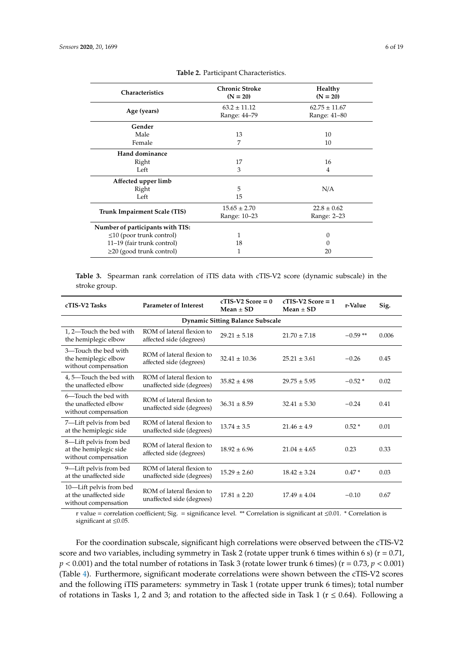<span id="page-5-0"></span>

| Characteristics                     | <b>Chronic Stroke</b><br>$(N = 20)$ | Healthy<br>$(N = 20)$ |  |  |
|-------------------------------------|-------------------------------------|-----------------------|--|--|
|                                     | $63.2 \pm 11.12$                    | $62.75 \pm 11.67$     |  |  |
| Age (years)                         | Range: 44-79                        | Range: 41-80          |  |  |
| Gender                              |                                     |                       |  |  |
| Male                                | 13                                  | 10                    |  |  |
| Female                              | 7                                   | 10                    |  |  |
| <b>Hand dominance</b>               |                                     |                       |  |  |
| Right                               | 17                                  | 16                    |  |  |
| Left                                | 3                                   | 4                     |  |  |
| Affected upper limb                 |                                     |                       |  |  |
| Right                               | 5                                   | N/A                   |  |  |
| Left                                | 15                                  |                       |  |  |
|                                     | $15.65 \pm 2.70$                    | $22.8 \pm 0.62$       |  |  |
| <b>Trunk Impairment Scale (TIS)</b> | Range: 10–23                        | Range: 2-23           |  |  |
| Number of participants with TIS:    |                                     |                       |  |  |
| $\leq$ 10 (poor trunk control)      | 1                                   | 0                     |  |  |
| 11-19 (fair trunk control)          | 18                                  | 0                     |  |  |
| $\geq$ 20 (good trunk control)      |                                     | 20                    |  |  |

|  |  | Table 2. Participant Characteristics. |
|--|--|---------------------------------------|
|--|--|---------------------------------------|

<span id="page-5-1"></span>**Table 3.** Spearman rank correlation of iTIS data with cTIS-V2 score (dynamic subscale) in the stroke group.

| cTIS-V2 Tasks                                                             | <b>Parameter of Interest</b>                           | $cTIS-V2 Score = 0$<br>$Mean \pm SD$ | $cTIS-V2 Score = 1$<br>Mean $\pm$ SD | r-Value   | Sig.  |  |  |  |
|---------------------------------------------------------------------------|--------------------------------------------------------|--------------------------------------|--------------------------------------|-----------|-------|--|--|--|
| <b>Dynamic Sitting Balance Subscale</b>                                   |                                                        |                                      |                                      |           |       |  |  |  |
| 1, 2—Touch the bed with<br>the hemiplegic elbow                           | ROM of lateral flexion to<br>affected side (degrees)   | $29.21 \pm 5.18$                     | $21.70 \pm 7.18$                     | $-0.59**$ | 0.006 |  |  |  |
| 3—Touch the bed with<br>the hemiplegic elbow<br>without compensation      | ROM of lateral flexion to<br>affected side (degrees)   | $32.41 \pm 10.36$                    | $25.21 \pm 3.61$                     | $-0.26$   | 0.45  |  |  |  |
| 4, 5—Touch the bed with<br>the unaffected elbow                           | ROM of lateral flexion to<br>unaffected side (degrees) | $35.82 \pm 4.98$                     | $29.75 \pm 5.95$                     | $-0.52*$  | 0.02  |  |  |  |
| 6-Touch the bed with<br>the unaffected elbow<br>without compensation      | ROM of lateral flexion to<br>unaffected side (degrees) | $36.31 \pm 8.59$                     | $32.41 \pm 5.30$                     | $-0.24$   | 0.41  |  |  |  |
| 7-Lift pelvis from bed<br>at the hemiplegic side                          | ROM of lateral flexion to<br>unaffected side (degrees) | $13.74 \pm 3.5$                      | $21.46 \pm 4.9$                      | $0.52*$   | 0.01  |  |  |  |
| 8-Lift pelvis from bed<br>at the hemiplegic side<br>without compensation  | ROM of lateral flexion to<br>affected side (degrees)   | $18.92 \pm 6.96$                     | $21.04 \pm 4.65$                     | 0.23      | 0.33  |  |  |  |
| 9-Lift pelvis from bed<br>at the unaffected side                          | ROM of lateral flexion to<br>unaffected side (degrees) | $15.29 \pm 2.60$                     | $18.42 \pm 3.24$                     | $0.47*$   | 0.03  |  |  |  |
| 10-Lift pelvis from bed<br>at the unaffected side<br>without compensation | ROM of lateral flexion to<br>unaffected side (degrees) | $17.81 \pm 2.20$                     | $17.49 \pm 4.04$                     | $-0.10$   | 0.67  |  |  |  |

r value = correlation coefficient; Sig. = significance level. \*\* Correlation is significant at ≤0.01. \* Correlation is significant at ≤0.05.

For the coordination subscale, significant high correlations were observed between the cTIS-V2 score and two variables, including symmetry in Task 2 (rotate upper trunk 6 times within 6 s) ( $r = 0.71$ ,  $p < 0.001$ ) and the total number of rotations in Task 3 (rotate lower trunk 6 times) ( $r = 0.73$ ,  $p < 0.001$ ) (Table [4\)](#page-6-0). Furthermore, significant moderate correlations were shown between the cTIS-V2 scores and the following iTIS parameters: symmetry in Task 1 (rotate upper trunk 6 times); total number of rotations in Tasks 1, 2 and 3; and rotation to the affected side in Task 1 ( $r \le 0.64$ ). Following a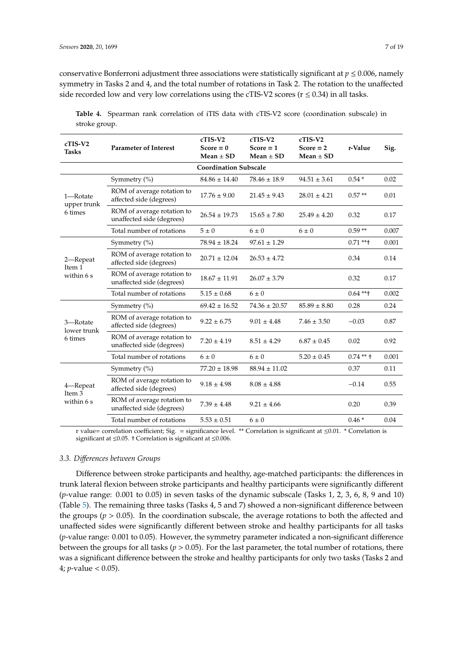conservative Bonferroni adjustment three associations were statistically significant at  $p \le 0.006$ , namely symmetry in Tasks 2 and 4, and the total number of rotations in Task 2. The rotation to the unaffected side recorded low and very low correlations using the cTIS-V2 scores ( $r \le 0.34$ ) in all tasks.

| $cTIS-V2$<br><b>Tasks</b>        | <b>Parameter of Interest</b>                            | $cTIS-V2$<br>Score $= 0$<br>$Mean \pm SD$ | $cTIS-V2$<br>Score $= 1$<br>Mean $\pm$ SD | $cTIS-V2$<br>Score $= 2$<br>Mean $\pm$ SD | r-Value    | Sig.  |  |
|----------------------------------|---------------------------------------------------------|-------------------------------------------|-------------------------------------------|-------------------------------------------|------------|-------|--|
|                                  | <b>Coordination Subscale</b>                            |                                           |                                           |                                           |            |       |  |
|                                  | Symmetry $(\% )$                                        | $84.86 \pm 14.40$                         | $78.46 \pm 18.9$                          | $94.51 \pm 3.61$                          | $0.54*$    | 0.02  |  |
| 1-Rotate<br>upper trunk          | ROM of average rotation to<br>affected side (degrees)   | $17.76 \pm 9.00$                          | $21.45 \pm 9.43$                          | $28.01 \pm 4.21$                          | $0.57**$   | 0.01  |  |
| 6 times                          | ROM of average rotation to<br>unaffected side (degrees) | $26.54 \pm 19.73$                         | $15.65 \pm 7.80$                          | $25.49 \pm 4.20$                          | 0.32       | 0.17  |  |
|                                  | Total number of rotations                               | $5\pm0$                                   | $6 \pm 0$                                 | $6\pm0$                                   | $0.59**$   | 0.007 |  |
|                                  | Symmetry (%)                                            | $78.94 \pm 18.24$                         | $97.61 \pm 1.29$                          |                                           | $0.71$ **+ | 0.001 |  |
| 2-Repeat<br>Item 1<br>within 6 s | ROM of average rotation to<br>affected side (degrees)   | $20.71 \pm 12.04$                         | $26.53 \pm 4.72$                          |                                           | 0.34       | 0.14  |  |
|                                  | ROM of average rotation to<br>unaffected side (degrees) | $18.67 \pm 11.91$                         | $26.07 \pm 3.79$                          |                                           | 0.32       | 0.17  |  |
|                                  | Total number of rotations                               | $5.15 \pm 0.68$                           | $6\pm0$                                   |                                           | $0.64$ **+ | 0.002 |  |
|                                  | Symmetry (%)                                            | $69.42 \pm 16.52$                         | $74.36 \pm 20.57$                         | $85.89 \pm 8.80$                          | 0.28       | 0.24  |  |
| 3-Rotate<br>lower trunk          | ROM of average rotation to<br>affected side (degrees)   | $9.22 \pm 6.75$                           | $9.01 \pm 4.48$                           | $7.46 \pm 3.50$                           | $-0.03$    | 0.87  |  |
| 6 times                          | ROM of average rotation to<br>unaffected side (degrees) | $7.20 \pm 4.19$                           | $8.51 \pm 4.29$                           | $6.87 \pm 0.45$                           | 0.02       | 0.92  |  |
|                                  | Total number of rotations                               | $6\pm0$                                   | $6\pm0$                                   | $5.20 \pm 0.45$                           | $0.74**+$  | 0.001 |  |
|                                  | Symmetry $(\% )$                                        | $77.20 \pm 18.98$                         | $88.94 \pm 11.02$                         |                                           | 0.37       | 0.11  |  |
| 4-Repeat<br>Item <sub>3</sub>    | ROM of average rotation to<br>affected side (degrees)   | $9.18 \pm 4.98$                           | $8.08 \pm 4.88$                           |                                           | $-0.14$    | 0.55  |  |
| within 6 s                       | ROM of average rotation to<br>unaffected side (degrees) | $7.39 \pm 4.48$                           | $9.21 \pm 4.66$                           |                                           | 0.20       | 0.39  |  |
|                                  | Total number of rotations                               | $5.53 \pm 0.51$                           | $6\pm0$                                   |                                           | $0.46*$    | 0.04  |  |

<span id="page-6-0"></span>**Table 4.** Spearman rank correlation of iTIS data with cTIS-V2 score (coordination subscale) in stroke group.

r value= correlation coefficient; Sig. = significance level. \*\* Correlation is significant at ≤0.01. \* Correlation is significant at ≤0.05. † Correlation is significant at ≤0.006.

#### *3.3. Di*ff*erences between Groups*

Difference between stroke participants and healthy, age-matched participants: the differences in trunk lateral flexion between stroke participants and healthy participants were significantly different (*p*-value range: 0.001 to 0.05) in seven tasks of the dynamic subscale (Tasks 1, 2, 3, 6, 8, 9 and 10) (Table [5\)](#page-8-0). The remaining three tasks (Tasks 4, 5 and 7) showed a non-significant difference between the groups ( $p > 0.05$ ). In the coordination subscale, the average rotations to both the affected and unaffected sides were significantly different between stroke and healthy participants for all tasks (*p*-value range: 0.001 to 0.05). However, the symmetry parameter indicated a non-significant difference between the groups for all tasks ( $p > 0.05$ ). For the last parameter, the total number of rotations, there was a significant difference between the stroke and healthy participants for only two tasks (Tasks 2 and 4; *p*-value < 0.05).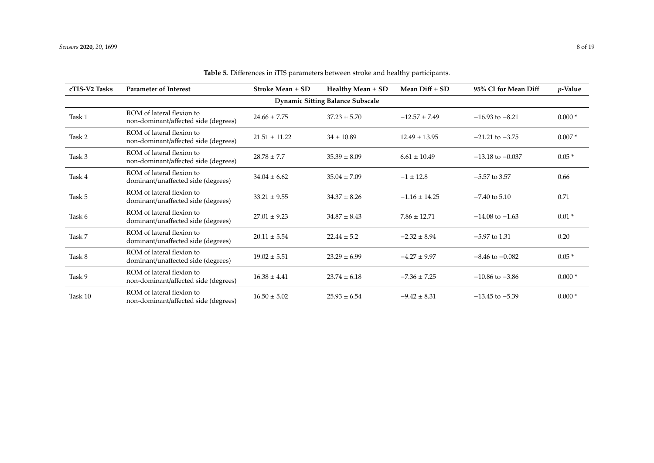| cTIS-V2 Tasks                           | <b>Parameter of Interest</b>                                      | Stroke Mean $\pm$ SD | Healthy Mean $\pm$ SD | Mean $Diff \pm SD$ | 95% CI for Mean Diff | $p$ -Value |  |  |  |
|-----------------------------------------|-------------------------------------------------------------------|----------------------|-----------------------|--------------------|----------------------|------------|--|--|--|
| <b>Dynamic Sitting Balance Subscale</b> |                                                                   |                      |                       |                    |                      |            |  |  |  |
| Task 1                                  | ROM of lateral flexion to<br>non-dominant/affected side (degrees) | $24.66 \pm 7.75$     | $37.23 \pm 5.70$      | $-12.57 \pm 7.49$  | $-16.93$ to $-8.21$  | $0.000*$   |  |  |  |
| Task 2                                  | ROM of lateral flexion to<br>non-dominant/affected side (degrees) | $21.51 \pm 11.22$    | $34 \pm 10.89$        | $12.49 \pm 13.95$  | $-21.21$ to $-3.75$  | $0.007*$   |  |  |  |
| Task 3                                  | ROM of lateral flexion to<br>non-dominant/affected side (degrees) | $28.78 \pm 7.7$      | $35.39 \pm 8.09$      | $6.61 \pm 10.49$   | $-13.18$ to $-0.037$ | $0.05*$    |  |  |  |
| Task 4                                  | ROM of lateral flexion to<br>dominant/unaffected side (degrees)   | $34.04 \pm 6.62$     | $35.04 \pm 7.09$      | $-1 \pm 12.8$      | $-5.57$ to 3.57      | 0.66       |  |  |  |
| Task 5                                  | ROM of lateral flexion to<br>dominant/unaffected side (degrees)   | $33.21 \pm 9.55$     | $34.37 \pm 8.26$      | $-1.16 \pm 14.25$  | $-7.40$ to 5.10      | 0.71       |  |  |  |
| Task 6                                  | ROM of lateral flexion to<br>dominant/unaffected side (degrees)   | $27.01 \pm 9.23$     | $34.87 \pm 8.43$      | $7.86 \pm 12.71$   | $-14.08$ to $-1.63$  | $0.01*$    |  |  |  |
| Task 7                                  | ROM of lateral flexion to<br>dominant/unaffected side (degrees)   | $20.11 \pm 5.54$     | $22.44 \pm 5.2$       | $-2.32 \pm 8.94$   | $-5.97$ to 1.31      | 0.20       |  |  |  |
| Task 8                                  | ROM of lateral flexion to<br>dominant/unaffected side (degrees)   | $19.02 \pm 5.51$     | $23.29 \pm 6.99$      | $-4.27 \pm 9.97$   | $-8.46$ to $-0.082$  | $0.05*$    |  |  |  |
| Task 9                                  | ROM of lateral flexion to<br>non-dominant/affected side (degrees) | $16.38 \pm 4.41$     | $23.74 \pm 6.18$      | $-7.36 \pm 7.25$   | $-10.86$ to $-3.86$  | $0.000*$   |  |  |  |
| Task 10                                 | ROM of lateral flexion to<br>non-dominant/affected side (degrees) | $16.50 \pm 5.02$     | $25.93 \pm 6.54$      | $-9.42 \pm 8.31$   | $-13.45$ to $-5.39$  | $0.000*$   |  |  |  |

**Table 5.** Differences in iTIS parameters between stroke and healthy participants.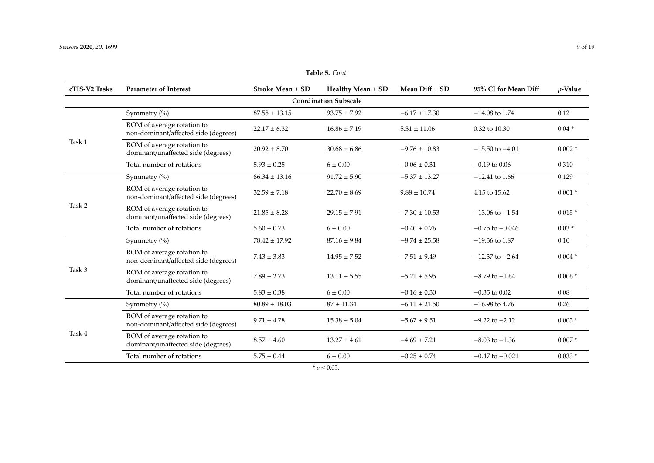<span id="page-8-0"></span>

| cTIS-V2 Tasks                | <b>Parameter of Interest</b>                                       | Stroke Mean $\pm$ SD | Healthy Mean $\pm$ SD | Mean $Diff \pm SD$ | 95% CI for Mean Diff | $p$ -Value |  |  |  |
|------------------------------|--------------------------------------------------------------------|----------------------|-----------------------|--------------------|----------------------|------------|--|--|--|
| <b>Coordination Subscale</b> |                                                                    |                      |                       |                    |                      |            |  |  |  |
|                              | Symmetry (%)                                                       | $87.58 \pm 13.15$    | $93.75 \pm 7.92$      | $-6.17 \pm 17.30$  | $-14.08$ to 1.74     | 0.12       |  |  |  |
|                              | ROM of average rotation to<br>non-dominant/affected side (degrees) | $22.17 \pm 6.32$     | $16.86 \pm 7.19$      | $5.31 \pm 11.06$   | $0.32$ to $10.30$    | $0.04*$    |  |  |  |
| Task 1                       | ROM of average rotation to<br>dominant/unaffected side (degrees)   | $20.92 \pm 8.70$     | $30.68 \pm 6.86$      | $-9.76 \pm 10.83$  | $-15.50$ to $-4.01$  | $0.002*$   |  |  |  |
|                              | Total number of rotations                                          | $5.93 \pm 0.25$      | $6 \pm 0.00$          | $-0.06 \pm 0.31$   | $-0.19$ to 0.06      | 0.310      |  |  |  |
|                              | Symmetry (%)                                                       | $86.34 \pm 13.16$    | $91.72 \pm 5.90$      | $-5.37 \pm 13.27$  | $-12.41$ to 1.66     | 0.129      |  |  |  |
| Task 2                       | ROM of average rotation to<br>non-dominant/affected side (degrees) | $32.59 \pm 7.18$     | $22.70 \pm 8.69$      | $9.88 \pm 10.74$   | 4.15 to 15.62        | $0.001*$   |  |  |  |
|                              | ROM of average rotation to<br>dominant/unaffected side (degrees)   | $21.85 \pm 8.28$     | $29.15 \pm 7.91$      | $-7.30 \pm 10.53$  | $-13.06$ to $-1.54$  | $0.015*$   |  |  |  |
|                              | Total number of rotations                                          | $5.60 \pm 0.73$      | $6 \pm 0.00$          | $-0.40 \pm 0.76$   | $-0.75$ to $-0.046$  | $0.03*$    |  |  |  |
|                              | Symmetry (%)                                                       | $78.42 \pm 17.92$    | $87.16 \pm 9.84$      | $-8.74 \pm 25.58$  | $-19.36$ to 1.87     | 0.10       |  |  |  |
|                              | ROM of average rotation to<br>non-dominant/affected side (degrees) | $7.43 \pm 3.83$      | $14.95 \pm 7.52$      | $-7.51 \pm 9.49$   | $-12.37$ to $-2.64$  | $0.004*$   |  |  |  |
| Task 3                       | ROM of average rotation to<br>dominant/unaffected side (degrees)   | $7.89 \pm 2.73$      | $13.11 \pm 5.55$      | $-5.21 \pm 5.95$   | $-8.79$ to $-1.64$   | $0.006*$   |  |  |  |
|                              | Total number of rotations                                          | $5.83 \pm 0.38$      | $6 \pm 0.00$          | $-0.16 \pm 0.30$   | $-0.35$ to 0.02      | 0.08       |  |  |  |
|                              | Symmetry $(\% )$                                                   | $80.89 \pm 18.03$    | $87 \pm 11.34$        | $-6.11 \pm 21.50$  | $-16.98$ to 4.76     | 0.26       |  |  |  |
|                              | ROM of average rotation to<br>non-dominant/affected side (degrees) | $9.71 \pm 4.78$      | $15.38 \pm 5.04$      | $-5.67 \pm 9.51$   | $-9.22$ to $-2.12$   | $0.003*$   |  |  |  |
| Task 4                       | ROM of average rotation to<br>dominant/unaffected side (degrees)   | $8.57 \pm 4.60$      | $13.27 \pm 4.61$      | $-4.69 \pm 7.21$   | $-8.03$ to $-1.36$   | $0.007*$   |  |  |  |
|                              | Total number of rotations                                          | $5.75 \pm 0.44$      | $6 \pm 0.00$          | $-0.25 \pm 0.74$   | $-0.47$ to $-0.021$  | $0.033*$   |  |  |  |

**Table 5.** *Cont.*

 $<sup>∗</sup> p ≤ 0.05.$ </sup>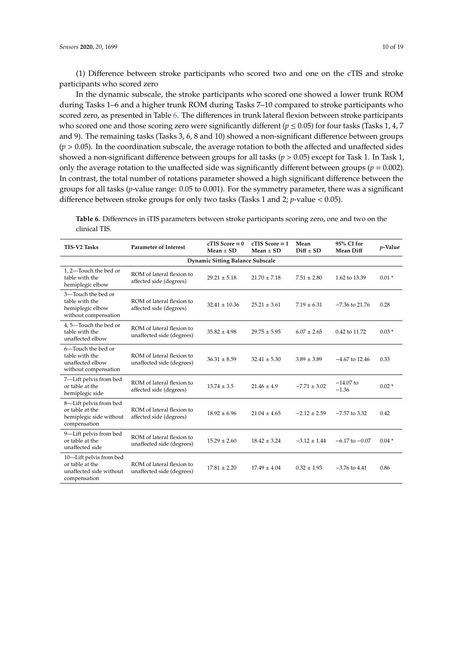(1) Difference between stroke participants who scored two and one on the cTIS and stroke participants who scored zero

In the dynamic subscale, the stroke participants who scored one showed a lower trunk ROM during Tasks 1–6 and a higher trunk ROM during Tasks 7–10 compared to stroke participants who scored zero, as presented in Table [6.](#page-10-0) The differences in trunk lateral flexion between stroke participants who scored one and those scoring zero were significantly different ( $p \le 0.05$ ) for four tasks (Tasks 1, 4, 7 and 9). The remaining tasks (Tasks 3, 6, 8 and 10) showed a non-significant difference between groups  $(p > 0.05)$ . In the coordination subscale, the average rotation to both the affected and unaffected sides showed a non-significant difference between groups for all tasks (*p* > 0.05) except for Task 1. In Task 1, only the average rotation to the unaffected side was significantly different between groups ( $p = 0.002$ ). In contrast, the total number of rotations parameter showed a high significant difference between the groups for all tasks (*p*-value range: 0.05 to 0.001). For the symmetry parameter, there was a significant difference between stroke groups for only two tasks (Tasks 1 and 2; *p*-value < 0.05).

**Table 6.** Differences in iTIS parameters between stroke participants scoring zero, one and two on the clinical TIS.

| <b>TIS-V2 Tasks</b>                                                                   | <b>Parameter of Interest</b>                           | $cTIS Score = 0$<br>$Mean + SD$ | $cTIS Score = 1$<br>$Mean + SD$ | Mean<br>$Diff \pm SD$ | 95% CI for<br><b>Mean Diff</b> | $p$ -Value |  |  |
|---------------------------------------------------------------------------------------|--------------------------------------------------------|---------------------------------|---------------------------------|-----------------------|--------------------------------|------------|--|--|
| <b>Dynamic Sitting Balance Subscale</b>                                               |                                                        |                                 |                                 |                       |                                |            |  |  |
| 1, 2-Touch the bed or<br>table with the<br>hemiplegic elbow                           | ROM of lateral flexion to<br>affected side (degrees)   | $29.21 \pm 5.18$                | $21.70 \pm 7.18$                | $7.51 \pm 2.80$       | 1.62 to 13.39                  | $0.01*$    |  |  |
| 3-Touch the bed or<br>table with the<br>hemiplegic elbow<br>without compensation      | ROM of lateral flexion to<br>affected side (degrees)   | $32.41 \pm 10.36$               | $25.21 \pm 3.61$                | $7.19 \pm 6.31$       | $-7.36$ to 21.76               | 0.28       |  |  |
| 4, 5-Touch the bed or<br>table with the<br>unaffected elbow                           | ROM of lateral flexion to<br>unaffected side (degrees) | $35.82 \pm 4.98$                | $29.75 \pm 5.95$                | $6.07 \pm 2.65$       | 0.42 to 11.72                  | $0.03*$    |  |  |
| 6-Touch the bed or<br>table with the<br>unaffected elbow<br>without compensation      | ROM of lateral flexion to<br>unaffected side (degrees) | $36.31 \pm 8.59$                | $32.41 \pm 5.30$                | $3.89 \pm 3.89$       | $-4.67$ to 12.46               | 0.33       |  |  |
| 7-Lift pelvis from bed<br>or table at the<br>hemiplegic side                          | ROM of lateral flexion to<br>affected side (degrees)   | $13.74 \pm 3.5$                 | $21.46 \pm 4.9$                 | $-7.71 \pm 3.02$      | $-14.07$ to<br>$-1.36$         | $0.02*$    |  |  |
| 8-Lift pelvis from bed<br>or table at the<br>hemiplegic side without<br>compensation  | ROM of lateral flexion to<br>affected side (degrees)   | $18.92 + 6.96$                  | $21.04 + 4.65$                  | $-2.12 + 2.59$        | $-7.57$ to 3.32                | 0.42       |  |  |
| 9-Lift pelvis from bed<br>or table at the<br>unaffected side                          | ROM of lateral flexion to<br>unaffected side (degrees) | $15.29 \pm 2.60$                | $18.42 \pm 3.24$                | $-3.12 + 1.44$        | $-6.17$ to $-0.07$             | $0.04*$    |  |  |
| 10—Lift pelvis from bed<br>or table at the<br>unaffected side without<br>compensation | ROM of lateral flexion to<br>unaffected side (degrees) | $17.81 \pm 2.20$                | $17.49 + 4.04$                  | $0.32 \pm 1.93$       | $-3.76$ to 4.41                | 0.86       |  |  |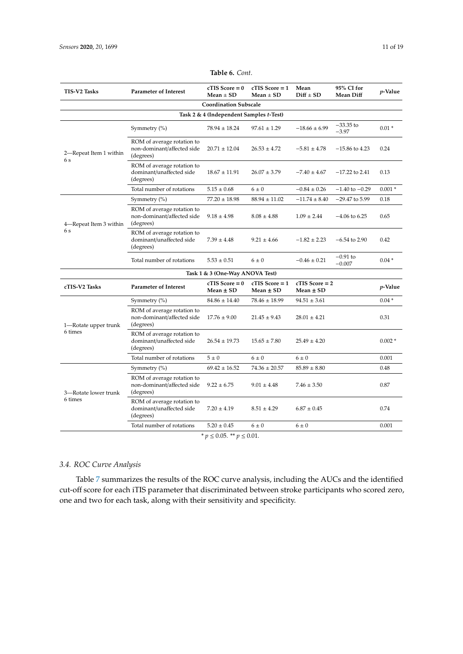<span id="page-10-0"></span>

| <b>TIS-V2 Tasks</b>                     | <b>Parameter of Interest</b>                                          | $cTIS Score = 0$<br>Mean $\pm$ SD  | $cTIS Score = 1$<br>Mean $\pm$ SD   | Mean<br>$Diff \pm SD$             | 95% CI for<br>Mean Diff | $p$ -Value      |  |  |  |
|-----------------------------------------|-----------------------------------------------------------------------|------------------------------------|-------------------------------------|-----------------------------------|-------------------------|-----------------|--|--|--|
| <b>Coordination Subscale</b>            |                                                                       |                                    |                                     |                                   |                         |                 |  |  |  |
| Task 2 & 4 (Independent Samples t-Test) |                                                                       |                                    |                                     |                                   |                         |                 |  |  |  |
|                                         | Symmetry $(\%)$                                                       | $78.94 \pm 18.24$                  | $97.61 \pm 1.29$                    | $-18.66 \pm 6.99$                 | $-33.35$ to<br>$-3.97$  | $0.01*$         |  |  |  |
| 2-Repeat Item 1 within<br>6 s           | ROM of average rotation to<br>non-dominant/affected side<br>(degrees) | $20.71 \pm 12.04$                  | $26.53 \pm 4.72$                    | $-5.81 \pm 4.78$                  | $-15.86$ to 4.23        | 0.24            |  |  |  |
|                                         | ROM of average rotation to<br>dominant/unaffected side<br>(degrees)   | $18.67 \pm 11.91$                  | $26.07 \pm 3.79$                    | $-7.40 \pm 4.67$                  | $-17.22$ to 2.41        | 0.13            |  |  |  |
|                                         | Total number of rotations                                             | $5.15 \pm 0.68$                    | $6\pm0$                             | $-0.84 \pm 0.26$                  | $-1.40$ to $-0.29$      | $0.001*$        |  |  |  |
|                                         | Symmetry (%)                                                          | $77.20 \pm 18.98$                  | $88.94 \pm 11.02$                   | $-11.74 \pm 8.40$                 | $-29.47$ to 5.99        | 0.18            |  |  |  |
| 4—Repeat Item 3 within                  | ROM of average rotation to<br>non-dominant/affected side<br>(degrees) | $9.18 \pm 4.98$                    | $8.08 \pm 4.88$                     | $1.09 \pm 2.44$                   | $-4.06$ to 6.25         | 0.65            |  |  |  |
| 6 s                                     | ROM of average rotation to<br>dominant/unaffected side<br>(degrees)   | $7.39 \pm 4.48$                    | $-1.82 \pm 2.23$<br>$9.21 \pm 4.66$ |                                   | $-6.54$ to 2.90         | 0.42            |  |  |  |
|                                         | Total number of rotations                                             | $5.53 \pm 0.51$                    | $6\pm0$                             | $-0.46 \pm 0.21$                  | $-0.91$ to<br>$-0.007$  | $0.04*$         |  |  |  |
|                                         |                                                                       | Task 1 & 3 (One-Way ANOVA Test)    |                                     |                                   |                         |                 |  |  |  |
| cTIS-V2 Tasks                           | <b>Parameter of Interest</b>                                          | $cTIS Score = 0$<br>Mean ± SD      | $cTIS Score = 1$<br>Mean $\pm$ SD   | $cTIS Score = 2$<br>Mean $\pm$ SD |                         | <i>p</i> -Value |  |  |  |
|                                         | Symmetry (%)                                                          | $84.86 \pm 14.40$                  | $78.46 \pm 18.99$                   | $94.51 \pm 3.61$                  |                         | $0.04*$         |  |  |  |
| 1-Rotate upper trunk                    | ROM of average rotation to<br>non-dominant/affected side<br>(degrees) | $17.76 \pm 9.00$                   | $21.45 \pm 9.43$                    | $28.01 \pm 4.21$                  |                         | 0.31            |  |  |  |
| 6 times                                 | ROM of average rotation to<br>dominant/unaffected side<br>(degrees)   | $26.54 \pm 19.73$                  | $15.65 \pm 7.80$                    | $25.49 \pm 4.20$                  |                         | $0.002*$        |  |  |  |
|                                         | Total number of rotations                                             | $5\pm0$                            | $6 \pm 0$                           | $6\pm0$                           |                         | 0.001           |  |  |  |
|                                         | Symmetry (%)                                                          | $69.42 \pm 16.52$                  | $74.36 \pm 20.57$                   | $85.89 \pm 8.80$                  |                         | 0.48            |  |  |  |
| 3-Rotate lower trunk                    | ROM of average rotation to<br>non-dominant/affected side<br>(degrees) | $9.22 \pm 6.75$                    | $9.01 \pm 4.48$                     | $7.46 \pm 3.50$                   |                         | 0.87            |  |  |  |
| 6 times                                 | ROM of average rotation to<br>dominant/unaffected side<br>(degrees)   | $7.20 \pm 4.19$                    | $8.51 \pm 4.29$                     | $6.87 \pm 0.45$                   |                         | 0.74            |  |  |  |
|                                         | Total number of rotations                                             | $5.20 \pm 0.45$                    | $6 \pm 0$                           | $6\pm0$                           |                         | 0.001           |  |  |  |
|                                         |                                                                       | * $p \le 0.05$ . ** $p \le 0.01$ . |                                     |                                   |                         |                 |  |  |  |

#### **Table 6.** *Cont.*

# *3.4. ROC Curve Analysis*

Table [7](#page-12-0) summarizes the results of the ROC curve analysis, including the AUCs and the identified cut-off score for each iTIS parameter that discriminated between stroke participants who scored zero, one and two for each task, along with their sensitivity and specificity.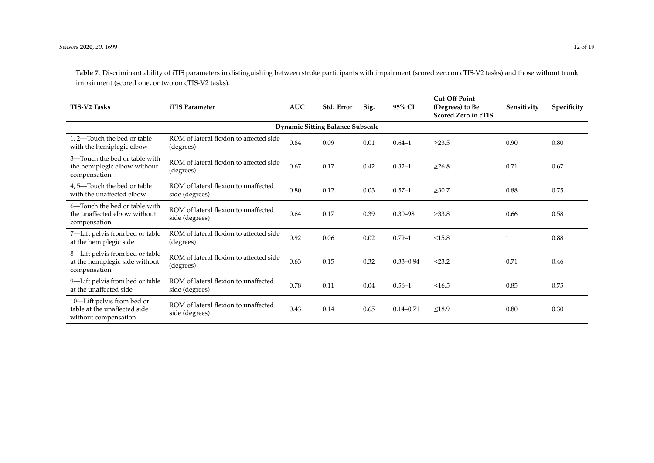**Table 7.** Discriminant ability of iTIS parameters in distinguishing between stroke participants with impairment (scored zero on cTIS-V2 tasks) and those without trunk impairment (scored one, or two on cTIS-V2 tasks).

| TIS-V2 Tasks                                                                       | <b>iTIS Parameter</b>                                  | <b>AUC</b> | Std. Error                              | Sig. | 95% CI        | <b>Cut-Off Point</b><br>(Degrees) to Be<br><b>Scored Zero in cTIS</b> | Sensitivity | Specificity |
|------------------------------------------------------------------------------------|--------------------------------------------------------|------------|-----------------------------------------|------|---------------|-----------------------------------------------------------------------|-------------|-------------|
|                                                                                    |                                                        |            | <b>Dynamic Sitting Balance Subscale</b> |      |               |                                                                       |             |             |
| 1, 2—Touch the bed or table<br>with the hemiplegic elbow                           | ROM of lateral flexion to affected side<br>(degrees)   | 0.84       | 0.09                                    | 0.01 | $0.64 - 1$    | >23.5                                                                 | 0.90        | 0.80        |
| 3-Touch the bed or table with<br>the hemiplegic elbow without<br>compensation      | ROM of lateral flexion to affected side<br>(degrees)   | 0.67       | 0.17                                    | 0.42 | $0.32 - 1$    | >26.8                                                                 | 0.71        | 0.67        |
| 4, 5-Touch the bed or table<br>with the unaffected elbow                           | ROM of lateral flexion to unaffected<br>side (degrees) | 0.80       | 0.12                                    | 0.03 | $0.57 - 1$    | $\geq 30.7$                                                           | 0.88        | 0.75        |
| 6-Touch the bed or table with<br>the unaffected elbow without<br>compensation      | ROM of lateral flexion to unaffected<br>side (degrees) | 0.64       | 0.17                                    | 0.39 | $0.30 - 98$   | $\geq 33.8$                                                           | 0.66        | 0.58        |
| 7-Lift pelvis from bed or table<br>at the hemiplegic side                          | ROM of lateral flexion to affected side<br>(degrees)   | 0.92       | 0.06                                    | 0.02 | $0.79 - 1$    | $\leq15.8$                                                            |             | 0.88        |
| 8-Lift pelvis from bed or table<br>at the hemiplegic side without<br>compensation  | ROM of lateral flexion to affected side<br>(degrees)   | 0.63       | 0.15                                    | 0.32 | $0.33 - 0.94$ | < 23.2                                                                | 0.71        | 0.46        |
| 9-Lift pelvis from bed or table<br>at the unaffected side                          | ROM of lateral flexion to unaffected<br>side (degrees) | 0.78       | 0.11                                    | 0.04 | $0.56 - 1$    | <16.5                                                                 | 0.85        | 0.75        |
| 10-Lift pelvis from bed or<br>table at the unaffected side<br>without compensation | ROM of lateral flexion to unaffected<br>side (degrees) | 0.43       | 0.14                                    | 0.65 | $0.14 - 0.71$ | < 18.9                                                                | 0.80        | 0.30        |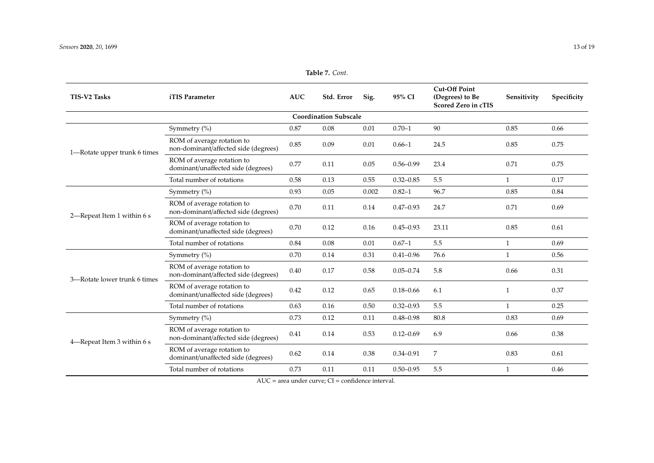|  | <b>Table 7.</b> Cont. |  |
|--|-----------------------|--|
|  |                       |  |

<span id="page-12-0"></span>

| <b>TIS-V2 Tasks</b>          | iTIS Parameter                                                     | <b>AUC</b> | Std. Error                   | Sig.  | 95% CI        | <b>Cut-Off Point</b><br>(Degrees) to Be<br><b>Scored Zero in cTIS</b> | Sensitivity  | Specificity |
|------------------------------|--------------------------------------------------------------------|------------|------------------------------|-------|---------------|-----------------------------------------------------------------------|--------------|-------------|
|                              |                                                                    |            | <b>Coordination Subscale</b> |       |               |                                                                       |              |             |
|                              | Symmetry (%)                                                       | 0.87       | 0.08                         | 0.01  | $0.70 - 1$    | 90                                                                    | 0.85         | 0.66        |
| 1-Rotate upper trunk 6 times | ROM of average rotation to<br>non-dominant/affected side (degrees) | 0.85       | 0.09                         | 0.01  | $0.66 - 1$    | 24.5                                                                  | 0.85         | 0.75        |
|                              | ROM of average rotation to<br>dominant/unaffected side (degrees)   | 0.77       | 0.11                         | 0.05  | $0.56 - 0.99$ | 23.4                                                                  | 0.71         | 0.75        |
|                              | Total number of rotations                                          | 0.58       | 0.13                         | 0.55  | $0.32 - 0.85$ | 5.5                                                                   | $\mathbf{1}$ | 0.17        |
|                              | Symmetry (%)                                                       | 0.93       | 0.05                         | 0.002 | $0.82 - 1$    | 96.7                                                                  | 0.85         | 0.84        |
| 2-Repeat Item 1 within 6 s   | ROM of average rotation to<br>non-dominant/affected side (degrees) | 0.70       | 0.11                         | 0.14  | $0.47 - 0.93$ | 24.7                                                                  | 0.71         | 0.69        |
|                              | ROM of average rotation to<br>dominant/unaffected side (degrees)   | 0.70       | 0.12                         | 0.16  | $0.45 - 0.93$ | 23.11                                                                 | 0.85         | 0.61        |
|                              | Total number of rotations                                          | 0.84       | 0.08                         | 0.01  | $0.67 - 1$    | 5.5                                                                   | $\mathbf{1}$ | 0.69        |
|                              | Symmetry (%)                                                       | 0.70       | 0.14                         | 0.31  | $0.41 - 0.96$ | 76.6                                                                  | $\mathbf{1}$ | 0.56        |
| 3-Rotate lower trunk 6 times | ROM of average rotation to<br>non-dominant/affected side (degrees) | 0.40       | 0.17                         | 0.58  | $0.05 - 0.74$ | 5.8                                                                   | 0.66         | 0.31        |
|                              | ROM of average rotation to<br>dominant/unaffected side (degrees)   | 0.42       | 0.12                         | 0.65  | $0.18 - 0.66$ | 6.1                                                                   | 1            | 0.37        |
|                              | Total number of rotations                                          | 0.63       | 0.16                         | 0.50  | $0.32 - 0.93$ | 5.5                                                                   | $\mathbf{1}$ | 0.25        |
|                              | Symmetry (%)                                                       | 0.73       | 0.12                         | 0.11  | $0.48 - 0.98$ | 80.8                                                                  | 0.83         | 0.69        |
| 4—Repeat Item 3 within 6 s   | ROM of average rotation to<br>non-dominant/affected side (degrees) | 0.41       | 0.14                         | 0.53  | $0.12 - 0.69$ | 6.9                                                                   | 0.66         | 0.38        |
|                              | ROM of average rotation to<br>dominant/unaffected side (degrees)   | 0.62       | 0.14                         | 0.38  | $0.34 - 0.91$ | 7                                                                     | 0.83         | 0.61        |
|                              | Total number of rotations                                          | 0.73       | 0.11                         | 0.11  | $0.50 - 0.95$ | 5.5                                                                   | $\mathbf{1}$ | 0.46        |

AUC = area under curve; CI = confidence interval.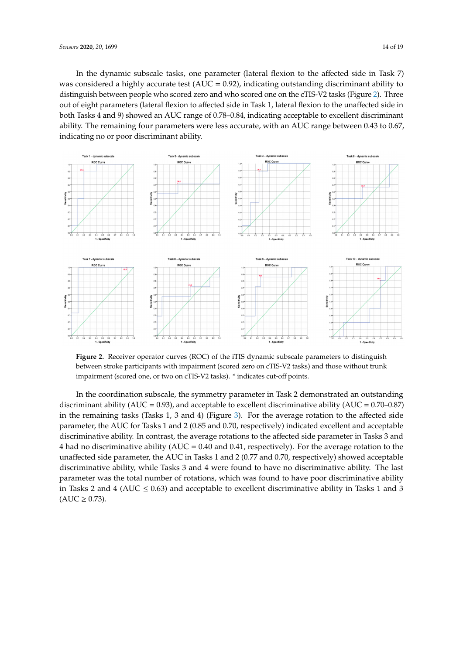In the dynamic subscale tasks, one parameter (lateral flexion to the affected side in Task 7) was considered a highly accurate test  $(AUC = 0.92)$ , indicating outstanding discriminant ability to  $\frac{1}{2}$ distinguish between people who scored zero and who scored one on the cTIS-V2 tasks (Figure [2\)](#page-13-0). Three out of eight parameters (lateral flexion to affected side in Task 1, lateral flexion to the unaffected side in both Tasks 4 and 9) showed an AUC range of 0.78–0.84, indicating acceptable to excellent discriminant<br>Different discriminant ability. The remaining four parameters were less accurate, with an AUC range between 0.43 to 0.67, indicating no or poor discriminant ability.

<span id="page-13-0"></span>

**Figure 2.** Receiver operator curves (ROC) of the iTIS dynamic subscale parameters to distinguish between stroke participants with impairment (scored zero on cTIS-V2 tasks) and those without trunk impairment (scored one, or two on cTIS-V2 tasks). \* indicates cut-off points.

In the coordination subscale, the symmetry parameter in Task 2 demonstrated an outstanding discriminant ability (AUC =  $0.93$ ), and acceptable to excellent discriminative ability (AUC =  $0.70-0.87$ ) in the remaining tasks (Tasks 1, 3 and 4) (Figure [3\)](#page-14-0). For the average rotation to the affected side parameter, the AUC for Tasks 1 and 2 (0.85 and 0.70, respectively) indicated excellent and acceptable discriminative ability. In contrast, the average rotations to the affected side parameter in Tasks 3 and 4 had no discriminative ability ( $AUC = 0.40$  and 0.41, respectively). For the average rotation to the unaffected side parameter, the AUC in Tasks 1 and 2 (0.77 and 0.70, respectively) showed acceptable discriminative ability, while Tasks 3 and 4 were found to have no discriminative ability. The last parameter was the total number of rotations, which was found to have poor discriminative ability in Tasks 2 and 4 (AUC  $\leq$  0.63) and acceptable to excellent discriminative ability in Tasks 1 and 3  $(AUC \ge 0.73)$ .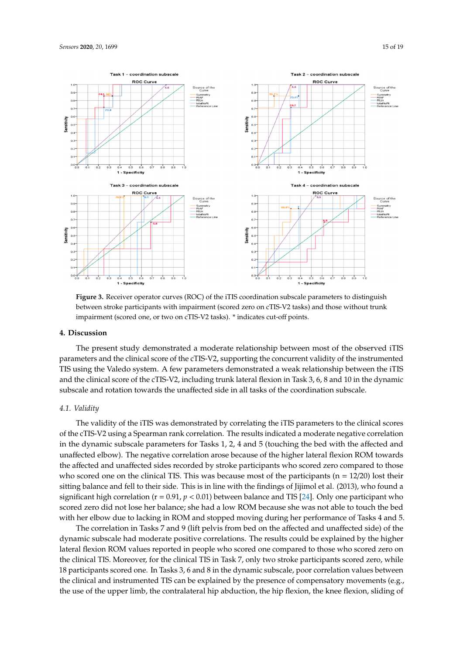<span id="page-14-0"></span>

between stroke participants with impairment (scored zero on cTIS-V2 tasks) and those without trunk impairment (scored one, or two on cTIS-V2 tasks). \* indicates cut-off points. **Figure 3.** Receiver operator curves (ROC) of the iTIS coordination subscale parameters to distinguish

# impairment (scored one, or two on cTIS-V2 tasks). **4. Discussion**

\* indicates cut-off points. **4. Discussion**  and the clinical score of the cTIS-V2, including trunk lateral flexion in Task 3, 6, 8 and 10 in the dynamic The present study demonstrated a moderate relationship between most of the observed iTIS parameters and the clinical score of the cTIS-V2, supporting the concurrent validity of the instrumented TIS using the Valedo system. A few parameters demonstrated a weak relationship between the iTIS subscale and rotation towards the unaffected side in all tasks of the coordination subscale.

#### parameters and the concurrent score of the concurrent value of the concurrent value of the concurrent value of the concurrent value of the concurrent value of the concurrent value of the concurrent value of the concurrent *4.1. Validity*

The validity of the iTIS was demonstrated by correlating the iTIS parameters to the clinical scores of the cTIS-V2 using a Spearman rank correlation. The results indicated a moderate negative correlation in the dynamic subscale parameters for Tasks 1, 2, 4 and 5 (touching the bed with the affected and unaffected elbow). The negative correlation arose because of the higher lateral flexion ROM towards who scored one on the clinical TIS. This was because most of the participants (n = 12/20) lost their sitting balance and fell to their side. This is in line with the findings of Jijimol et al. (2013), who found a<br> $\frac{1}{2}$ significant high correlation ( $r = 0.91$ ,  $p < 0.01$ ) between balance and TIS [\[24\]](#page-18-12). Only one participant who scored zero did not lose her balance, she had a low NOM because she was not able to touch the bed with her elbow due to lacking in ROM and stopped moving during her performance of Tasks 4 and 5. the affected and unaffected sides recorded by stroke participants who scored zero compared to those scored zero did not lose her balance; she had a low ROM because she was not able to touch the bed

which chow due to higher moving arrows are performance of the higher performance of the set of the correlation in Tasks 7 and 9 (lift pelvis from bed on the affected and unaffected side) of the dynamic subscale had moderate positive correlations. The results could be explained by the higher lateral flexion ROM values reported in people who scored one compared to those who scored zero on the clinical TIS. Moreover, for the clinical TIS in Task 7, only two stroke participants scored zero, while 18 participants scored one. In Tasks 3, 6 and 8 in the dynamic subscale, poor correlation values between the clinical and instrumented TIS can be explained by the presence of compensatory movements (e.g., the use of the upper limb, the contralateral hip abduction, the hip flexion, the knee flexion, sliding of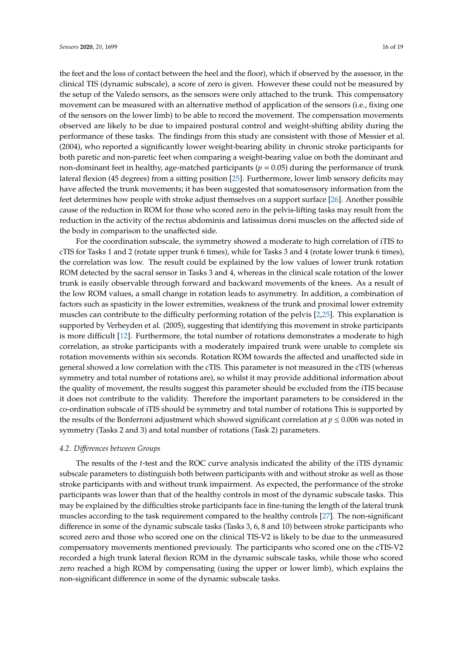the feet and the loss of contact between the heel and the floor), which if observed by the assessor, in the clinical TIS (dynamic subscale), a score of zero is given. However these could not be measured by the setup of the Valedo sensors, as the sensors were only attached to the trunk. This compensatory movement can be measured with an alternative method of application of the sensors (i.e., fixing one of the sensors on the lower limb) to be able to record the movement. The compensation movements observed are likely to be due to impaired postural control and weight-shifting ability during the performance of these tasks. The findings from this study are consistent with those of Messier et al. (2004), who reported a significantly lower weight-bearing ability in chronic stroke participants for both paretic and non-paretic feet when comparing a weight-bearing value on both the dominant and non-dominant feet in healthy, age-matched participants ( $p = 0.05$ ) during the performance of trunk lateral flexion (45 degrees) from a sitting position [\[25\]](#page-18-13). Furthermore, lower limb sensory deficits may have affected the trunk movements; it has been suggested that somatosensory information from the feet determines how people with stroke adjust themselves on a support surface [\[26\]](#page-18-14). Another possible cause of the reduction in ROM for those who scored zero in the pelvis-lifting tasks may result from the reduction in the activity of the rectus abdominis and latissimus dorsi muscles on the affected side of the body in comparison to the unaffected side.

For the coordination subscale, the symmetry showed a moderate to high correlation of iTIS to cTIS for Tasks 1 and 2 (rotate upper trunk 6 times), while for Tasks 3 and 4 (rotate lower trunk 6 times), the correlation was low. The result could be explained by the low values of lower trunk rotation ROM detected by the sacral sensor in Tasks 3 and 4, whereas in the clinical scale rotation of the lower trunk is easily observable through forward and backward movements of the knees. As a result of the low ROM values, a small change in rotation leads to asymmetry. In addition, a combination of factors such as spasticity in the lower extremities, weakness of the trunk and proximal lower extremity muscles can contribute to the difficulty performing rotation of the pelvis [\[2](#page-17-1)[,25\]](#page-18-13). This explanation is supported by Verheyden et al. (2005), suggesting that identifying this movement in stroke participants is more difficult [\[12\]](#page-18-0). Furthermore, the total number of rotations demonstrates a moderate to high correlation, as stroke participants with a moderately impaired trunk were unable to complete six rotation movements within six seconds. Rotation ROM towards the affected and unaffected side in general showed a low correlation with the cTIS. This parameter is not measured in the cTIS (whereas symmetry and total number of rotations are), so whilst it may provide additional information about the quality of movement, the results suggest this parameter should be excluded from the iTIS because it does not contribute to the validity. Therefore the important parameters to be considered in the co-ordination subscale of iTIS should be symmetry and total number of rotations This is supported by the results of the Bonferroni adjustment which showed significant correlation at  $p \leq 0.006$  was noted in symmetry (Tasks 2 and 3) and total number of rotations (Task 2) parameters.

## *4.2. Di*ff*erences between Groups*

The results of the *t*-test and the ROC curve analysis indicated the ability of the iTIS dynamic subscale parameters to distinguish both between participants with and without stroke as well as those stroke participants with and without trunk impairment. As expected, the performance of the stroke participants was lower than that of the healthy controls in most of the dynamic subscale tasks. This may be explained by the difficulties stroke participants face in fine-tuning the length of the lateral trunk muscles according to the task requirement compared to the healthy controls [\[27\]](#page-18-15). The non-significant difference in some of the dynamic subscale tasks (Tasks 3, 6, 8 and 10) between stroke participants who scored zero and those who scored one on the clinical TIS-V2 is likely to be due to the unmeasured compensatory movements mentioned previously. The participants who scored one on the cTIS-V2 recorded a high trunk lateral flexion ROM in the dynamic subscale tasks, while those who scored zero reached a high ROM by compensating (using the upper or lower limb), which explains the non-significant difference in some of the dynamic subscale tasks.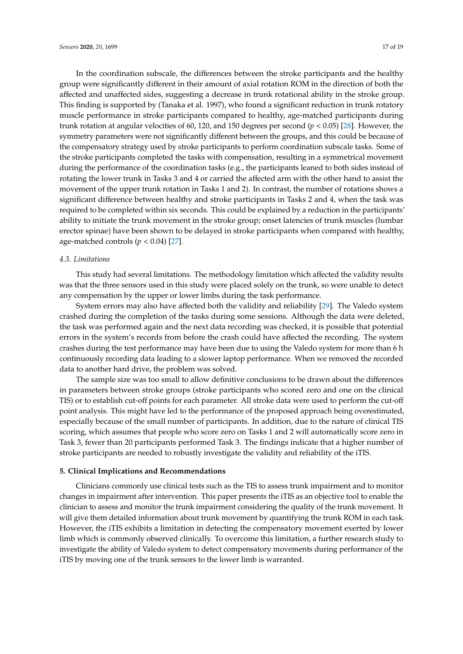In the coordination subscale, the differences between the stroke participants and the healthy group were significantly different in their amount of axial rotation ROM in the direction of both the affected and unaffected sides, suggesting a decrease in trunk rotational ability in the stroke group. This finding is supported by (Tanaka et al. 1997), who found a significant reduction in trunk rotatory muscle performance in stroke participants compared to healthy, age-matched participants during trunk rotation at angular velocities of 60, 120, and 150 degrees per second (*p* < 0.05) [\[28\]](#page-18-16). However, the symmetry parameters were not significantly different between the groups, and this could be because of the compensatory strategy used by stroke participants to perform coordination subscale tasks. Some of the stroke participants completed the tasks with compensation, resulting in a symmetrical movement during the performance of the coordination tasks (e.g., the participants leaned to both sides instead of rotating the lower trunk in Tasks 3 and 4 or carried the affected arm with the other hand to assist the movement of the upper trunk rotation in Tasks 1 and 2). In contrast, the number of rotations shows a significant difference between healthy and stroke participants in Tasks 2 and 4, when the task was required to be completed within six seconds. This could be explained by a reduction in the participants' ability to initiate the trunk movement in the stroke group; onset latencies of trunk muscles (lumbar erector spinae) have been shown to be delayed in stroke participants when compared with healthy, age-matched controls  $(p < 0.04)$  [\[27\]](#page-18-15).

### *4.3. Limitations*

This study had several limitations. The methodology limitation which affected the validity results was that the three sensors used in this study were placed solely on the trunk, so were unable to detect any compensation by the upper or lower limbs during the task performance.

System errors may also have affected both the validity and reliability [\[29\]](#page-18-17). The Valedo system crashed during the completion of the tasks during some sessions. Although the data were deleted, the task was performed again and the next data recording was checked, it is possible that potential errors in the system's records from before the crash could have affected the recording. The system crashes during the test performance may have been due to using the Valedo system for more than 6 h continuously recording data leading to a slower laptop performance. When we removed the recorded data to another hard drive, the problem was solved.

The sample size was too small to allow definitive conclusions to be drawn about the differences in parameters between stroke groups (stroke participants who scored zero and one on the clinical TIS) or to establish cut-off points for each parameter. All stroke data were used to perform the cut-off point analysis. This might have led to the performance of the proposed approach being overestimated, especially because of the small number of participants. In addition, due to the nature of clinical TIS scoring, which assumes that people who score zero on Tasks 1 and 2 will automatically score zero in Task 3, fewer than 20 participants performed Task 3. The findings indicate that a higher number of stroke participants are needed to robustly investigate the validity and reliability of the iTIS.

#### **5. Clinical Implications and Recommendations**

Clinicians commonly use clinical tests such as the TIS to assess trunk impairment and to monitor changes in impairment after intervention. This paper presents the iTIS as an objective tool to enable the clinician to assess and monitor the trunk impairment considering the quality of the trunk movement. It will give them detailed information about trunk movement by quantifying the trunk ROM in each task. However, the iTIS exhibits a limitation in detecting the compensatory movement exerted by lower limb which is commonly observed clinically. To overcome this limitation, a further research study to investigate the ability of Valedo system to detect compensatory movements during performance of the iTIS by moving one of the trunk sensors to the lower limb is warranted.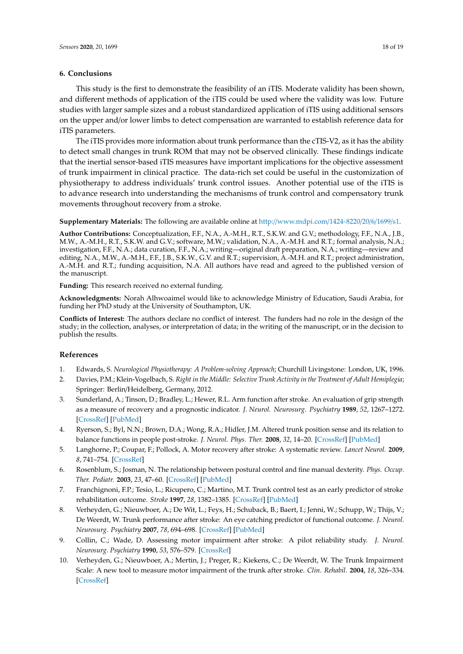## **6. Conclusions**

This study is the first to demonstrate the feasibility of an iTIS. Moderate validity has been shown, and different methods of application of the iTIS could be used where the validity was low. Future studies with larger sample sizes and a robust standardized application of iTIS using additional sensors on the upper and/or lower limbs to detect compensation are warranted to establish reference data for iTIS parameters.

The iTIS provides more information about trunk performance than the cTIS-V2, as it has the ability to detect small changes in trunk ROM that may not be observed clinically. These findings indicate that the inertial sensor-based iTIS measures have important implications for the objective assessment of trunk impairment in clinical practice. The data-rich set could be useful in the customization of physiotherapy to address individuals' trunk control issues. Another potential use of the iTIS is to advance research into understanding the mechanisms of trunk control and compensatory trunk movements throughout recovery from a stroke.

**Supplementary Materials:** The following are available online at http://[www.mdpi.com](http://www.mdpi.com/1424-8220/20/6/1699/s1)/1424-8220/20/6/1699/s1.

**Author Contributions:** Conceptualization, F.F., N.A., A.-M.H., R.T., S.K.W. and G.V.; methodology, F.F., N.A., J.B., M.W., A.-M.H., R.T., S.K.W. and G.V.; software, M.W.; validation, N.A., A.-M.H. and R.T.; formal analysis, N.A.; investigation, F.F., N.A.; data curation, F.F., N.A.; writing—original draft preparation, N.A.; writing—review and editing, N.A., M.W., A.-M.H., F.F., J.B., S.K.W., G.V. and R.T.; supervision, A.-M.H. and R.T.; project administration, A.-M.H. and R.T.; funding acquisition, N.A. All authors have read and agreed to the published version of the manuscript.

**Funding:** This research received no external funding.

**Acknowledgments:** Norah Alhwoaimel would like to acknowledge Ministry of Education, Saudi Arabia, for funding her PhD study at the University of Southampton, UK.

**Conflicts of Interest:** The authors declare no conflict of interest. The funders had no role in the design of the study; in the collection, analyses, or interpretation of data; in the writing of the manuscript, or in the decision to publish the results.

## **References**

- <span id="page-17-0"></span>1. Edwards, S. *Neurological Physiotherapy: A Problem-solving Approach*; Churchill Livingstone: London, UK, 1996.
- <span id="page-17-1"></span>2. Davies, P.M.; Klein-Vogelbach, S. *Right in the Middle: Selective Trunk Activity in the Treatment of Adult Hemiplegia*; Springer: Berlin/Heidelberg, Germany, 2012.
- <span id="page-17-2"></span>3. Sunderland, A.; Tinson, D.; Bradley, L.; Hewer, R.L. Arm function after stroke. An evaluation of grip strength as a measure of recovery and a prognostic indicator. *J. Neurol. Neurosurg. Psychiatry* **1989**, *52*, 1267–1272. [\[CrossRef\]](http://dx.doi.org/10.1136/jnnp.52.11.1267) [\[PubMed\]](http://www.ncbi.nlm.nih.gov/pubmed/2592969)
- 4. Ryerson, S.; Byl, N.N.; Brown, D.A.; Wong, R.A.; Hidler, J.M. Altered trunk position sense and its relation to balance functions in people post-stroke. *J. Neurol. Phys. Ther.* **2008**, *32*, 14–20. [\[CrossRef\]](http://dx.doi.org/10.1097/NPT.0b013e3181660f0c) [\[PubMed\]](http://www.ncbi.nlm.nih.gov/pubmed/18463551)
- <span id="page-17-3"></span>5. Langhorne, P.; Coupar, F.; Pollock, A. Motor recovery after stroke: A systematic review. *Lancet Neurol.* **2009**, *8*, 741–754. [\[CrossRef\]](http://dx.doi.org/10.1016/S1474-4422(09)70150-4)
- <span id="page-17-4"></span>6. Rosenblum, S.; Josman, N. The relationship between postural control and fine manual dexterity. *Phys. Occup. Ther. Pediatr.* **2003**, *23*, 47–60. [\[CrossRef\]](http://dx.doi.org/10.1080/J006v23n04_04) [\[PubMed\]](http://www.ncbi.nlm.nih.gov/pubmed/14750308)
- <span id="page-17-5"></span>7. Franchignoni, F.P.; Tesio, L.; Ricupero, C.; Martino, M.T. Trunk control test as an early predictor of stroke rehabilitation outcome. *Stroke* **1997**, *28*, 1382–1385. [\[CrossRef\]](http://dx.doi.org/10.1161/01.STR.28.7.1382) [\[PubMed\]](http://www.ncbi.nlm.nih.gov/pubmed/9227687)
- <span id="page-17-6"></span>8. Verheyden, G.; Nieuwboer, A.; De Wit, L.; Feys, H.; Schuback, B.; Baert, I.; Jenni, W.; Schupp, W.; Thijs, V.; De Weerdt, W. Trunk performance after stroke: An eye catching predictor of functional outcome. *J. Neurol. Neurosurg. Psychiatry* **2007**, *78*, 694–698. [\[CrossRef\]](http://dx.doi.org/10.1136/jnnp.2006.101642) [\[PubMed\]](http://www.ncbi.nlm.nih.gov/pubmed/17178824)
- <span id="page-17-7"></span>9. Collin, C.; Wade, D. Assessing motor impairment after stroke: A pilot reliability study. *J. Neurol. Neurosurg. Psychiatry* **1990**, *53*, 576–579. [\[CrossRef\]](http://dx.doi.org/10.1136/jnnp.53.7.576)
- <span id="page-17-8"></span>10. Verheyden, G.; Nieuwboer, A.; Mertin, J.; Preger, R.; Kiekens, C.; De Weerdt, W. The Trunk Impairment Scale: A new tool to measure motor impairment of the trunk after stroke. *Clin. Rehabil.* **2004**, *18*, 326–334. [\[CrossRef\]](http://dx.doi.org/10.1191/0269215504cr733oa)